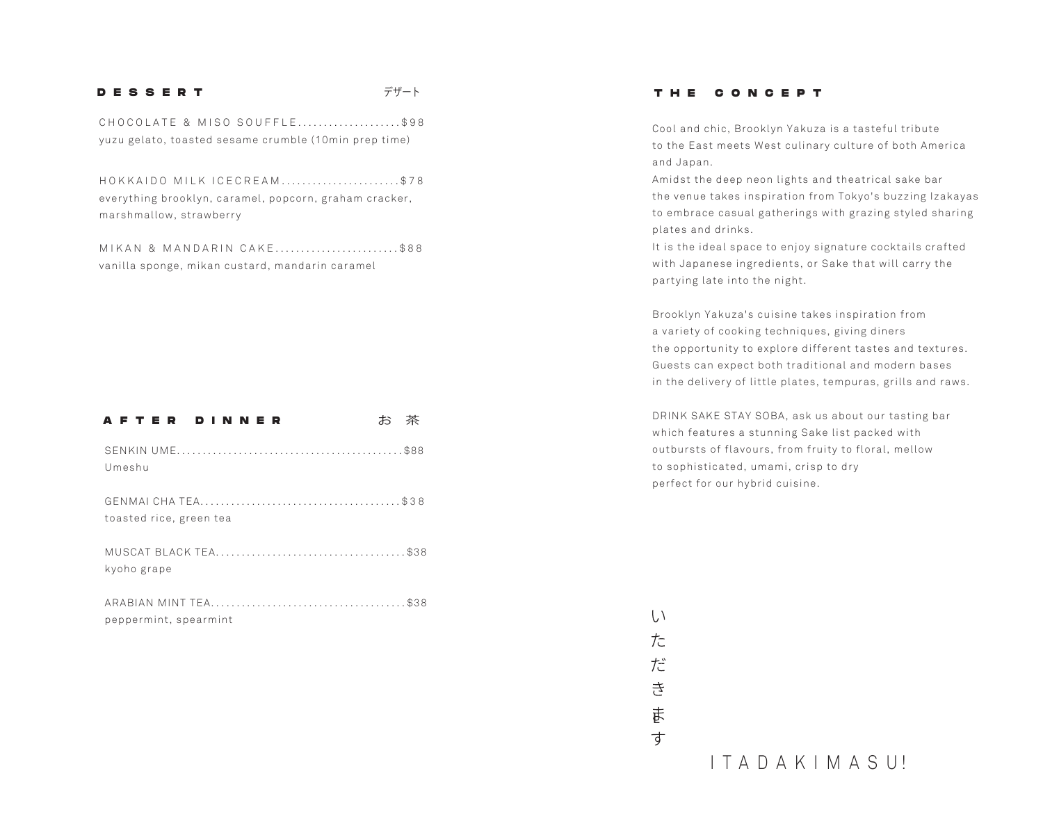### **DESSERT** デザート

CHOCOLATE & MISO SOUFFLE....................\$98 yuzu gelato, toasted sesame crumble (10min prep time)

HOKKAIDO MILK ICECREAM.......................\$78 everything brooklyn, caramel, popcorn, graham cracker, marshmallow, strawberry

MIKAN & MANDARIN CAKE.............................\$88 vanilla sponge, mikan custard, mandarin caramel

## AFTER DINNER お茶 SENKIN UME............................................ \$88 Umeshu GENMAI CHA TEA.......................................\$38 toasted rice, green tea MUSCAT BLACK TEA..................................... \$38 kyoho grape ARABIAN MINT TEA...................................... \$38 peppermint, spearmint

### **THE CONCEPT**

Cool and chic, Brooklyn Yakuza is a tasteful tribute to the East meets West culinary culture of both America and Japan.

Amidst the deep neon lights and theatrical sake bar the venue takes inspiration from Tokyo's buzzing Izakayas to embrace casual gatherings with grazing styled sharing plates and drinks.

It is the ideal space to enjoy signature cocktails crafted with Japanese ingredients, or Sake that will carry the partying late into the night.

Brooklyn Yakuza's cuisine takes inspiration from a variety of cooking techniques, giving diners the opportunity to explore different tastes and textures.  Guests can expect both traditional and modern bases in the delivery of little plates, tempuras, grills and raws.

DRINK SAKE STAY SOBA, ask us about our tasting bar which features a stunning Sake list packed with outbursts of flavours, from fruity to floral, mellow to sophisticated, umami, crisp to dry perfect for our hybrid cuisine.

声

す

 $\langle \cdot, \cdot \rangle$  $\frac{1}{\sqrt{n}}$ 

だ

舌